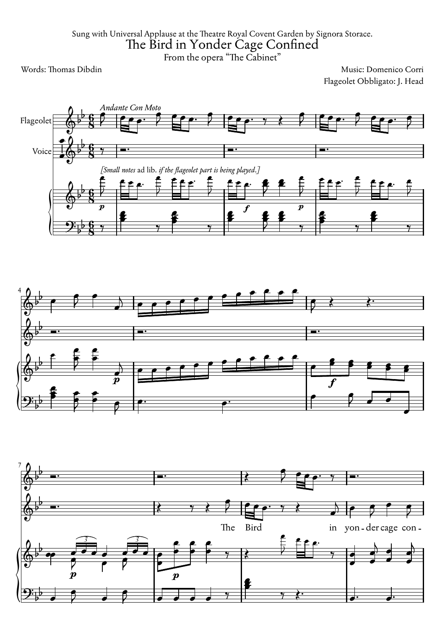Sung with Universal Applause at the Theatre Royal Covent Garden by Signora Storace. The Bird in Yonder Cage Confined

From the opera "The Cabinet"

Words: Thomas Dibdin Music: Domenico Corri Flageolet Obbligato: J. Head



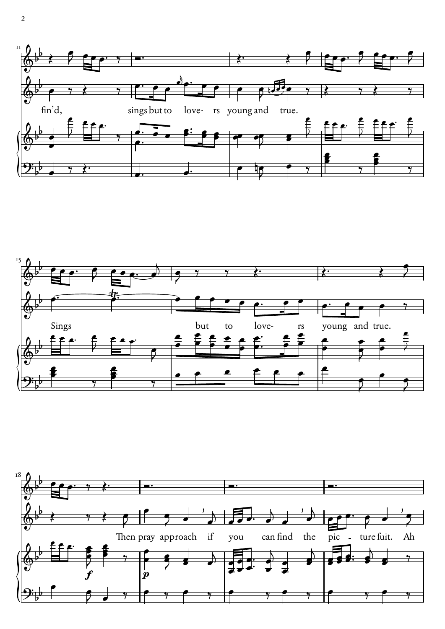



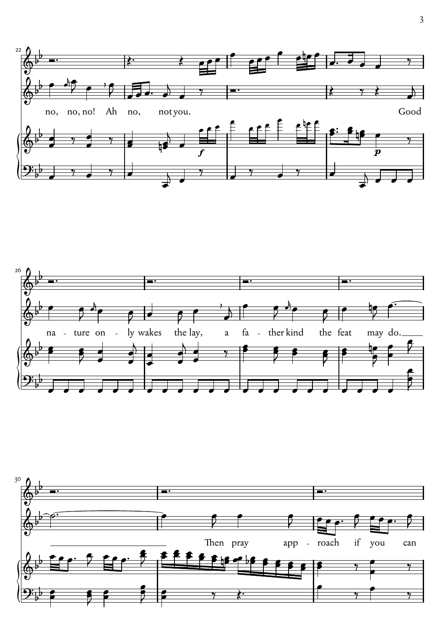



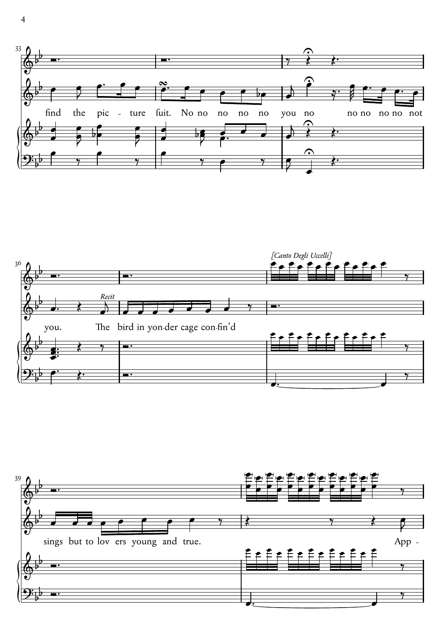



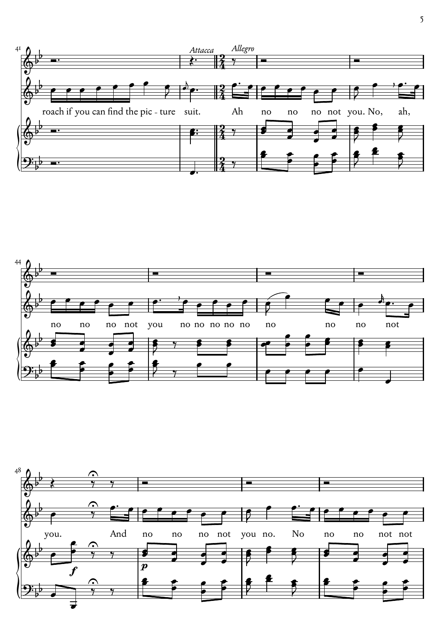